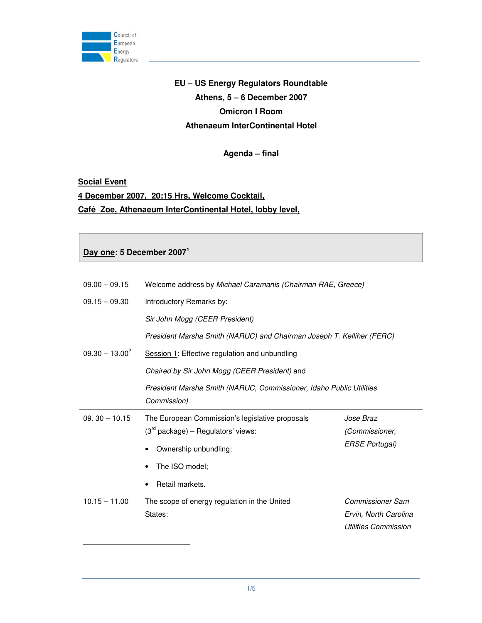

# **EU – US Energy Regulators Roundtable Athens, 5 – 6 December 2007 Omicron I Room Athenaeum InterContinental Hotel**

### **Agenda – final**

#### **Social Event**

-

# **4 December 2007, 20:15 Hrs, Welcome Cocktail, Café Zoe, Athenaeum InterContinental Hotel, lobby level,**

### **Day one: 5 December 2007<sup>1</sup>**

| $09.00 - 09.15$   | Welcome address by Michael Caramanis (Chairman RAE, Greece)                             |                                                                                 |  |
|-------------------|-----------------------------------------------------------------------------------------|---------------------------------------------------------------------------------|--|
| $09.15 - 09.30$   | Introductory Remarks by:                                                                |                                                                                 |  |
|                   | Sir John Mogg (CEER President)                                                          |                                                                                 |  |
|                   | President Marsha Smith (NARUC) and Chairman Joseph T. Kelliher (FERC)                   |                                                                                 |  |
| $09.30 - 13.00^2$ | Session 1: Effective regulation and unbundling                                          |                                                                                 |  |
|                   | Chaired by Sir John Mogg (CEER President) and                                           |                                                                                 |  |
|                   | President Marsha Smith (NARUC, Commissioner, Idaho Public Utilities<br>Commission)      |                                                                                 |  |
| $09.30 - 10.15$   | The European Commission's legislative proposals<br>$(3rd$ package) – Regulators' views: | Jose Braz<br>(Commissioner,                                                     |  |
|                   | Ownership unbundling;<br>٠                                                              | <b>ERSE Portugal)</b>                                                           |  |
|                   | The ISO model;                                                                          |                                                                                 |  |
|                   | Retail markets.                                                                         |                                                                                 |  |
| $10.15 - 11.00$   | The scope of energy regulation in the United<br>States:                                 | <b>Commissioner Sam</b><br>Ervin, North Carolina<br><b>Utilities Commission</b> |  |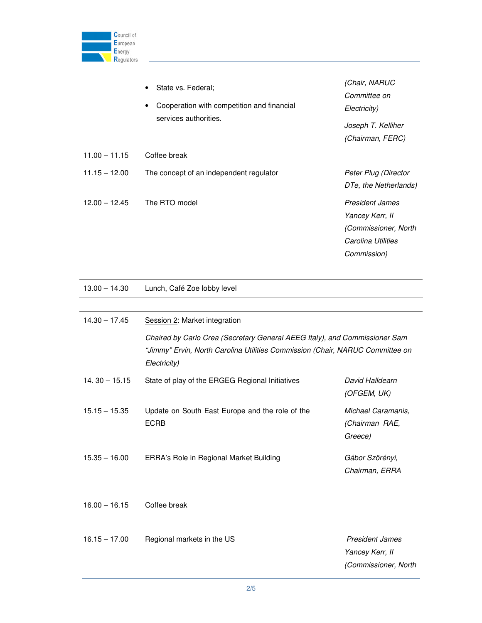

|                 | State vs. Federal;<br>$\bullet$                                                  | (Chair, NARUC<br>Committee on |
|-----------------|----------------------------------------------------------------------------------|-------------------------------|
|                 | Cooperation with competition and financial<br>$\bullet$<br>services authorities. | Electricity)                  |
|                 |                                                                                  | Joseph T. Kelliher            |
|                 |                                                                                  | (Chairman, FERC)              |
| $11.00 - 11.15$ | Coffee break                                                                     |                               |
| $11.15 - 12.00$ | The concept of an independent regulator                                          | Peter Plug (Director          |
|                 |                                                                                  | DTe, the Netherlands)         |
| $12.00 - 12.45$ | The RTO model                                                                    | <b>President James</b>        |
|                 |                                                                                  | Yancey Kerr, II               |
|                 |                                                                                  | (Commissioner, North          |
|                 |                                                                                  | Carolina Utilities            |
|                 |                                                                                  | Commission)                   |

| $13.00 - 14.30$ | Lunch, Café Zoe lobby level                                                                                                                                 |                      |  |
|-----------------|-------------------------------------------------------------------------------------------------------------------------------------------------------------|----------------------|--|
|                 |                                                                                                                                                             |                      |  |
| $14.30 - 17.45$ | Session 2: Market integration                                                                                                                               |                      |  |
|                 | Chaired by Carlo Crea (Secretary General AEEG Italy), and Commissioner Sam<br>"Jimmy" Ervin, North Carolina Utilities Commission (Chair, NARUC Committee on |                      |  |
|                 |                                                                                                                                                             |                      |  |
|                 | Electricity)                                                                                                                                                |                      |  |
| $14.30 - 15.15$ | State of play of the ERGEG Regional Initiatives                                                                                                             | David Halldearn      |  |
|                 |                                                                                                                                                             | (OFGEM, UK)          |  |
| $15.15 - 15.35$ | Update on South East Europe and the role of the<br><b>ECRB</b>                                                                                              | Michael Caramanis,   |  |
|                 |                                                                                                                                                             | (Chairman RAE,       |  |
|                 |                                                                                                                                                             | Greece)              |  |
| $15.35 - 16.00$ | ERRA's Role in Regional Market Building                                                                                                                     | Gábor Szörényi,      |  |
|                 |                                                                                                                                                             | Chairman, ERRA       |  |
| $16.00 - 16.15$ | Coffee break                                                                                                                                                |                      |  |
| $16.15 - 17.00$ | Regional markets in the US                                                                                                                                  | President James      |  |
|                 |                                                                                                                                                             | Yancey Kerr, II      |  |
|                 |                                                                                                                                                             | (Commissioner, North |  |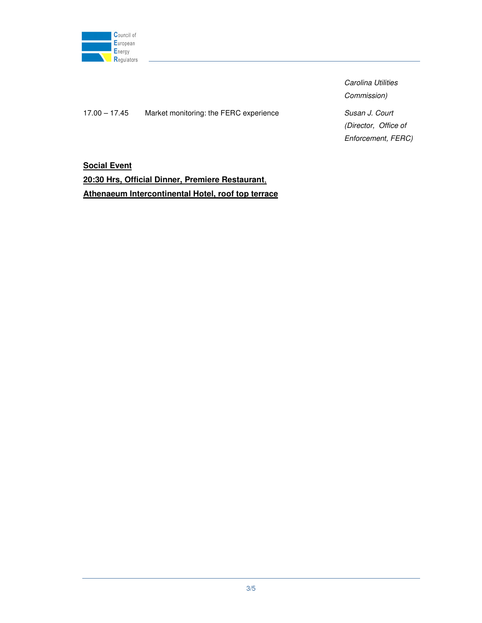

17.00 – 17.45 Market monitoring: the FERC experience Susan J. Court

Carolina Utilities Commission) (Director, Office of Enforcement, FERC)

**Social Event 20:30 Hrs, Official Dinner, Premiere Restaurant**, **Athenaeum Intercontinental Hotel, roof top terrace**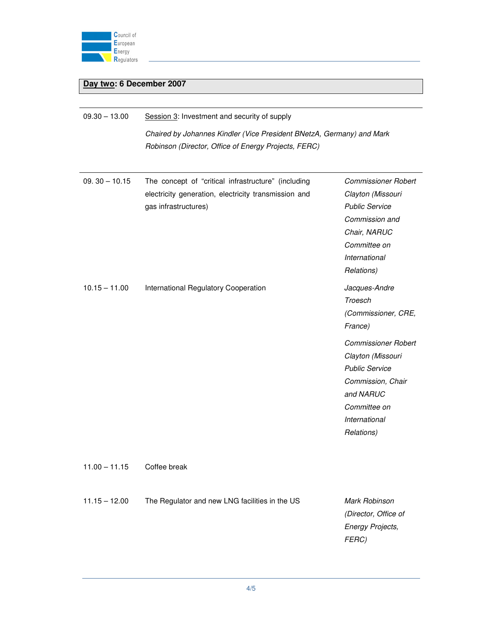

## **Day two: 6 December 2007**

| $09.30 - 13.00$ | Session 3: Investment and security of supply<br>Chaired by Johannes Kindler (Vice President BNetzA, Germany) and Mark<br>Robinson (Director, Office of Energy Projects, FERC) |                                                                                                                                                           |  |
|-----------------|-------------------------------------------------------------------------------------------------------------------------------------------------------------------------------|-----------------------------------------------------------------------------------------------------------------------------------------------------------|--|
| $09.30 - 10.15$ | The concept of "critical infrastructure" (including<br>electricity generation, electricity transmission and<br>gas infrastructures)                                           | <b>Commissioner Robert</b><br>Clayton (Missouri<br><b>Public Service</b><br>Commission and<br>Chair, NARUC<br>Committee on<br>International<br>Relations) |  |
| $10.15 - 11.00$ | International Regulatory Cooperation                                                                                                                                          | Jacques-Andre<br>Troesch<br>(Commissioner, CRE,<br>France)                                                                                                |  |
|                 |                                                                                                                                                                               | <b>Commissioner Robert</b><br>Clayton (Missouri<br><b>Public Service</b><br>Commission, Chair<br>and NARUC<br>Committee on<br>International<br>Relations) |  |
| $11.00 - 11.15$ | Coffee break                                                                                                                                                                  |                                                                                                                                                           |  |
| $11.15 - 12.00$ | The Regulator and new LNG facilities in the US                                                                                                                                | Mark Robinson<br>(Director, Office of<br><b>Energy Projects,</b><br>FERC)                                                                                 |  |